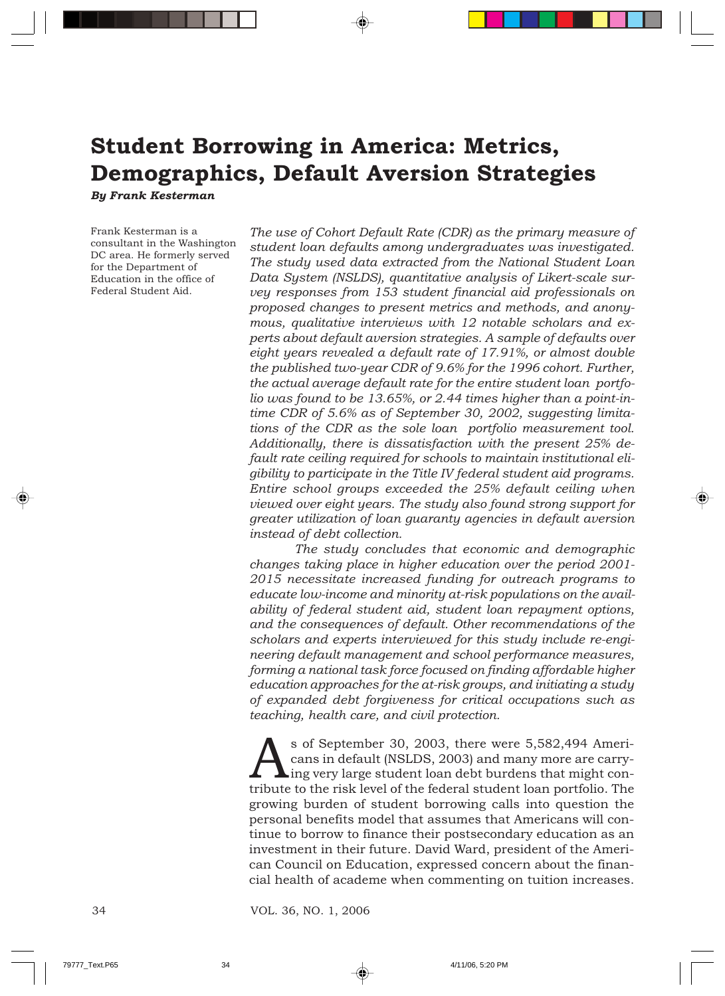## **Student Borrowing in America: Metrics, Demographics, Default Aversion Strategies**

*By Frank Kesterman*

Frank Kesterman is a consultant in the Washington DC area. He formerly served for the Department of Education in the office of Federal Student Aid.

*The use of Cohort Default Rate (CDR) as the primary measure of student loan defaults among undergraduates was investigated. The study used data extracted from the National Student Loan Data System (NSLDS), quantitative analysis of Likert-scale survey responses from 153 student financial aid professionals on proposed changes to present metrics and methods, and anonymous, qualitative interviews with 12 notable scholars and experts about default aversion strategies. A sample of defaults over eight years revealed a default rate of 17.91%, or almost double the published two-year CDR of 9.6% for the 1996 cohort. Further, the actual average default rate for the entire student loan portfolio was found to be 13.65%, or 2.44 times higher than a point-intime CDR of 5.6% as of September 30, 2002, suggesting limitations of the CDR as the sole loan portfolio measurement tool. Additionally, there is dissatisfaction with the present 25% default rate ceiling required for schools to maintain institutional eligibility to participate in the Title IV federal student aid programs. Entire school groups exceeded the 25% default ceiling when viewed over eight years. The study also found strong support for greater utilization of loan guaranty agencies in default aversion instead of debt collection.*

*The study concludes that economic and demographic changes taking place in higher education over the period 2001- 2015 necessitate increased funding for outreach programs to educate low-income and minority at-risk populations on the availability of federal student aid, student loan repayment options, and the consequences of default. Other recommendations of the scholars and experts interviewed for this study include re-engineering default management and school performance measures, forming a national task force focused on finding affordable higher education approaches for the at-risk groups, and initiating a study of expanded debt forgiveness for critical occupations such as teaching, health care, and civil protection.*

Sof September 30, 2003, there were 5,582,494 Americans in default (NSLDS, 2003) and many more are carry-<br>ting very large student loan debt burdens that might contribute to the risk level of the federal student loan portfol cans in default (NSLDS, 2003) and many more are carrying very large student loan debt burdens that might contribute to the risk level of the federal student loan portfolio. The growing burden of student borrowing calls into question the personal benefits model that assumes that Americans will continue to borrow to finance their postsecondary education as an investment in their future. David Ward, president of the American Council on Education, expressed concern about the financial health of academe when commenting on tuition increases.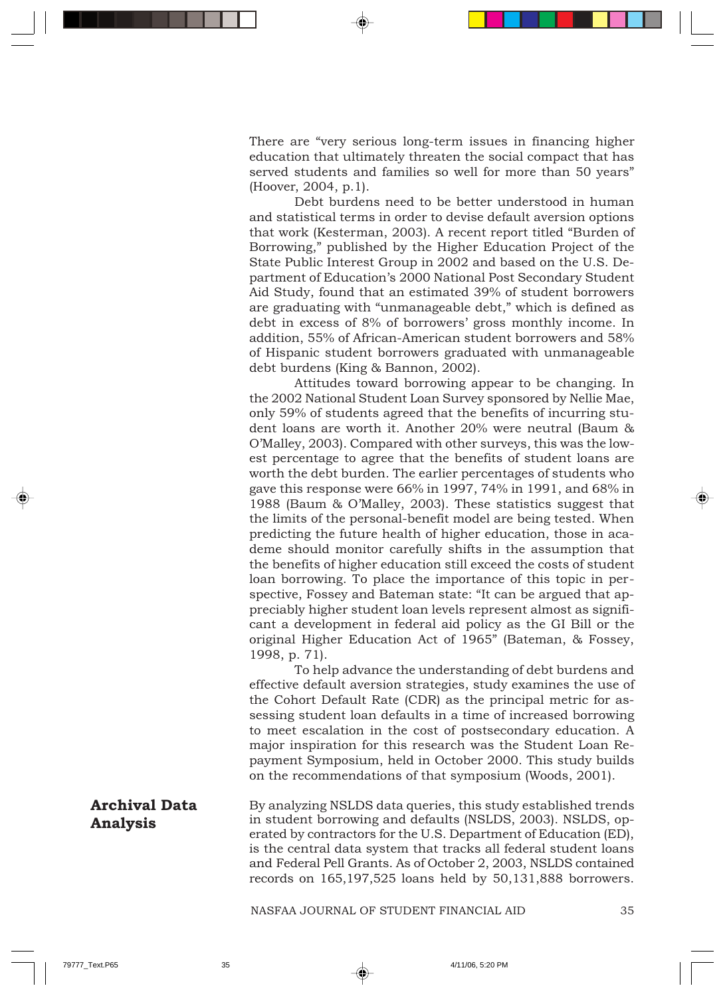There are "very serious long-term issues in financing higher education that ultimately threaten the social compact that has served students and families so well for more than 50 years" (Hoover, 2004, p.1).

Debt burdens need to be better understood in human and statistical terms in order to devise default aversion options that work (Kesterman, 2003). A recent report titled "Burden of Borrowing," published by the Higher Education Project of the State Public Interest Group in 2002 and based on the U.S. Department of Education's 2000 National Post Secondary Student Aid Study, found that an estimated 39% of student borrowers are graduating with "unmanageable debt," which is defined as debt in excess of 8% of borrowers' gross monthly income. In addition, 55% of African-American student borrowers and 58% of Hispanic student borrowers graduated with unmanageable debt burdens (King & Bannon, 2002).

Attitudes toward borrowing appear to be changing. In the 2002 National Student Loan Survey sponsored by Nellie Mae, only 59% of students agreed that the benefits of incurring student loans are worth it. Another 20% were neutral (Baum & O'Malley, 2003). Compared with other surveys, this was the lowest percentage to agree that the benefits of student loans are worth the debt burden. The earlier percentages of students who gave this response were 66% in 1997, 74% in 1991, and 68% in 1988 (Baum & O'Malley, 2003). These statistics suggest that the limits of the personal-benefit model are being tested. When predicting the future health of higher education, those in academe should monitor carefully shifts in the assumption that the benefits of higher education still exceed the costs of student loan borrowing. To place the importance of this topic in perspective, Fossey and Bateman state: "It can be argued that appreciably higher student loan levels represent almost as significant a development in federal aid policy as the GI Bill or the original Higher Education Act of 1965" (Bateman, & Fossey, 1998, p. 71).

To help advance the understanding of debt burdens and effective default aversion strategies, study examines the use of the Cohort Default Rate (CDR) as the principal metric for assessing student loan defaults in a time of increased borrowing to meet escalation in the cost of postsecondary education. A major inspiration for this research was the Student Loan Repayment Symposium, held in October 2000. This study builds on the recommendations of that symposium (Woods, 2001).

#### By analyzing NSLDS data queries, this study established trends in student borrowing and defaults (NSLDS, 2003). NSLDS, operated by contractors for the U.S. Department of Education (ED), is the central data system that tracks all federal student loans and Federal Pell Grants. As of October 2, 2003, NSLDS contained records on 165,197,525 loans held by 50,131,888 borrowers. **Archival Data Analysis**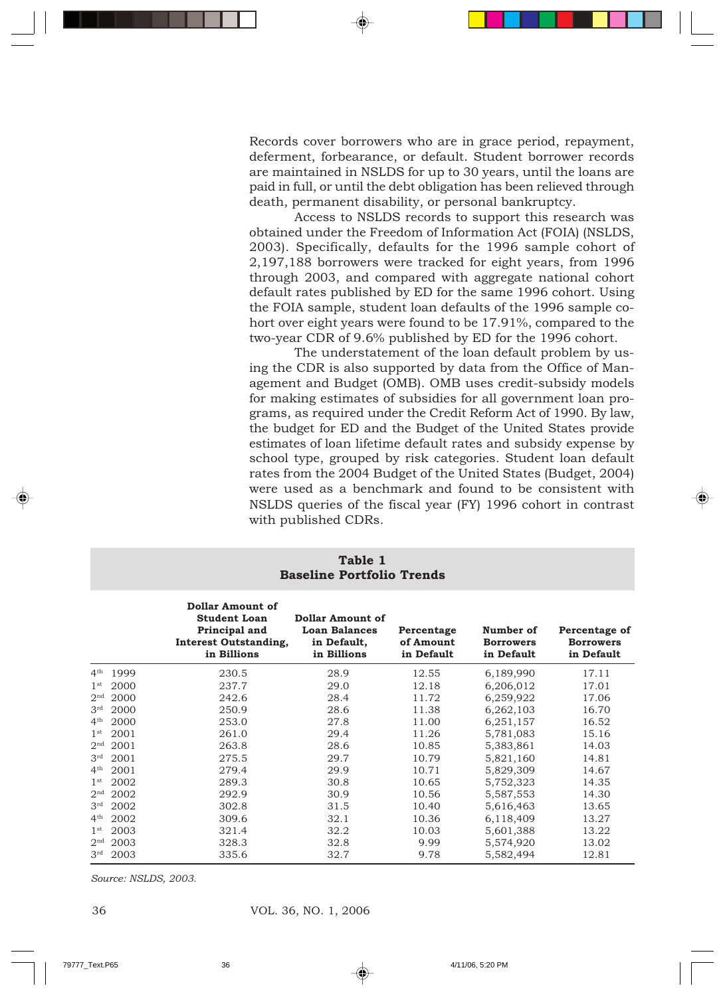Records cover borrowers who are in grace period, repayment, deferment, forbearance, or default. Student borrower records are maintained in NSLDS for up to 30 years, until the loans are paid in full, or until the debt obligation has been relieved through death, permanent disability, or personal bankruptcy.

Access to NSLDS records to support this research was obtained under the Freedom of Information Act (FOIA) (NSLDS, 2003). Specifically, defaults for the 1996 sample cohort of 2,197,188 borrowers were tracked for eight years, from 1996 through 2003, and compared with aggregate national cohort default rates published by ED for the same 1996 cohort. Using the FOIA sample, student loan defaults of the 1996 sample cohort over eight years were found to be 17.91%, compared to the two-year CDR of 9.6% published by ED for the 1996 cohort.

The understatement of the loan default problem by using the CDR is also supported by data from the Office of Management and Budget (OMB). OMB uses credit-subsidy models for making estimates of subsidies for all government loan programs, as required under the Credit Reform Act of 1990. By law, the budget for ED and the Budget of the United States provide estimates of loan lifetime default rates and subsidy expense by school type, grouped by risk categories. Student loan default rates from the 2004 Budget of the United States (Budget, 2004) were used as a benchmark and found to be consistent with NSLDS queries of the fiscal year (FY) 1996 cohort in contrast with published CDRs.

|                 | <b>Baseline Portfolio Trends</b> |                                                                                                                |                                                                        |                                       |                                             |                                                 |
|-----------------|----------------------------------|----------------------------------------------------------------------------------------------------------------|------------------------------------------------------------------------|---------------------------------------|---------------------------------------------|-------------------------------------------------|
|                 |                                  | <b>Dollar Amount of</b><br><b>Student Loan</b><br>Principal and<br><b>Interest Outstanding,</b><br>in Billions | Dollar Amount of<br><b>Loan Balances</b><br>in Default,<br>in Billions | Percentage<br>of Amount<br>in Default | Number of<br><b>Borrowers</b><br>in Default | Percentage of<br><b>Borrowers</b><br>in Default |
| 4 <sup>th</sup> | 1999                             | 230.5                                                                                                          | 28.9                                                                   | 12.55                                 | 6,189,990                                   | 17.11                                           |
| 1 <sup>st</sup> | 2000                             | 237.7                                                                                                          | 29.0                                                                   | 12.18                                 | 6,206,012                                   | 17.01                                           |
| 2 <sup>nd</sup> | 2000                             | 242.6                                                                                                          | 28.4                                                                   | 11.72                                 | 6,259,922                                   | 17.06                                           |
| 3 <sup>rd</sup> | 2000                             | 250.9                                                                                                          | 28.6                                                                   | 11.38                                 | 6,262,103                                   | 16.70                                           |
| 4 <sup>th</sup> | 2000                             | 253.0                                                                                                          | 27.8                                                                   | 11.00                                 | 6,251,157                                   | 16.52                                           |
| 1 <sup>st</sup> | 2001                             | 261.0                                                                                                          | 29.4                                                                   | 11.26                                 | 5,781,083                                   | 15.16                                           |
| 2 <sup>nd</sup> | 2001                             | 263.8                                                                                                          | 28.6                                                                   | 10.85                                 | 5,383,861                                   | 14.03                                           |
| 3 <sup>rd</sup> | 2001                             | 275.5                                                                                                          | 29.7                                                                   | 10.79                                 | 5,821,160                                   | 14.81                                           |
| 4 <sup>th</sup> | 2001                             | 279.4                                                                                                          | 29.9                                                                   | 10.71                                 | 5,829,309                                   | 14.67                                           |
| 1 <sup>st</sup> | 2002                             | 289.3                                                                                                          | 30.8                                                                   | 10.65                                 | 5,752,323                                   | 14.35                                           |
| 2 <sup>nd</sup> | 2002                             | 292.9                                                                                                          | 30.9                                                                   | 10.56                                 | 5,587,553                                   | 14.30                                           |
| 3 <sup>rd</sup> | 2002                             | 302.8                                                                                                          | 31.5                                                                   | 10.40                                 | 5,616,463                                   | 13.65                                           |
| 4 <sup>th</sup> | 2002                             | 309.6                                                                                                          | 32.1                                                                   | 10.36                                 | 6,118,409                                   | 13.27                                           |
| 1 <sup>st</sup> | 2003                             | 321.4                                                                                                          | 32.2                                                                   | 10.03                                 | 5,601,388                                   | 13.22                                           |
|                 | $2nd$ 2003                       | 328.3                                                                                                          | 32.8                                                                   | 9.99                                  | 5,574,920                                   | 13.02                                           |
| 3 <sup>rd</sup> | 2003                             | 335.6                                                                                                          | 32.7                                                                   | 9.78                                  | 5,582,494                                   | 12.81                                           |

**Table 1 Baseline Portfolio Trends**

*Source: NSLDS, 2003.*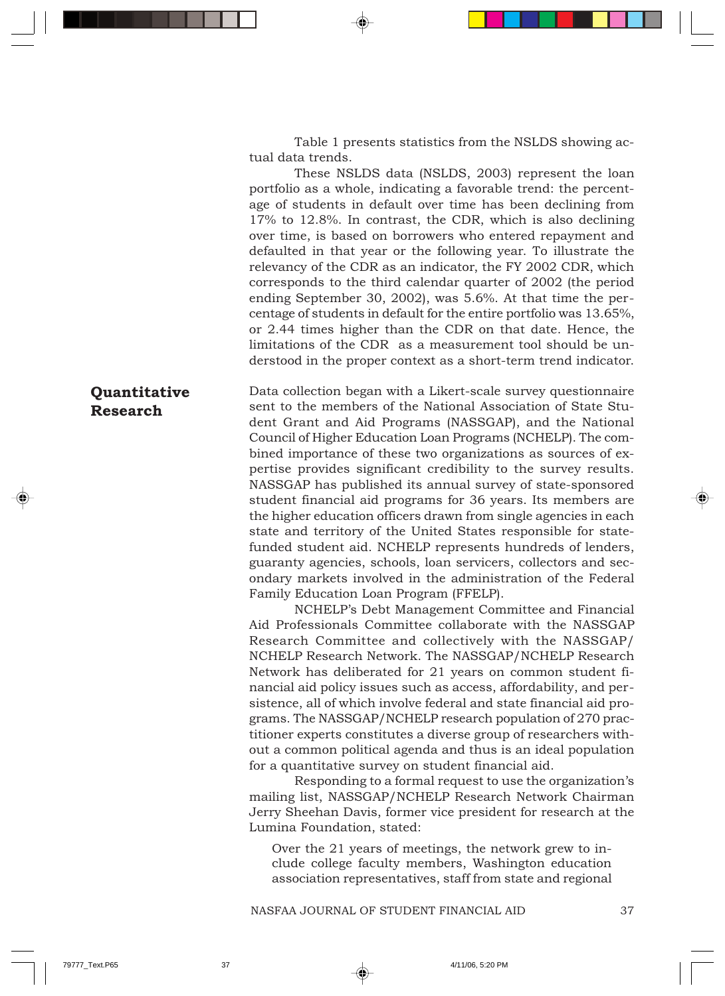Table 1 presents statistics from the NSLDS showing actual data trends.

These NSLDS data (NSLDS, 2003) represent the loan portfolio as a whole, indicating a favorable trend: the percentage of students in default over time has been declining from 17% to 12.8%. In contrast, the CDR, which is also declining over time, is based on borrowers who entered repayment and defaulted in that year or the following year. To illustrate the relevancy of the CDR as an indicator, the FY 2002 CDR, which corresponds to the third calendar quarter of 2002 (the period ending September 30, 2002), was 5.6%. At that time the percentage of students in default for the entire portfolio was 13.65%, or 2.44 times higher than the CDR on that date. Hence, the limitations of the CDR as a measurement tool should be understood in the proper context as a short-term trend indicator.

Data collection began with a Likert-scale survey questionnaire sent to the members of the National Association of State Student Grant and Aid Programs (NASSGAP), and the National Council of Higher Education Loan Programs (NCHELP). The combined importance of these two organizations as sources of expertise provides significant credibility to the survey results. NASSGAP has published its annual survey of state-sponsored student financial aid programs for 36 years. Its members are the higher education officers drawn from single agencies in each state and territory of the United States responsible for statefunded student aid. NCHELP represents hundreds of lenders, guaranty agencies, schools, loan servicers, collectors and secondary markets involved in the administration of the Federal Family Education Loan Program (FFELP). **Quantitative Research**

NCHELP's Debt Management Committee and Financial Aid Professionals Committee collaborate with the NASSGAP Research Committee and collectively with the NASSGAP/ NCHELP Research Network. The NASSGAP/NCHELP Research Network has deliberated for 21 years on common student financial aid policy issues such as access, affordability, and persistence, all of which involve federal and state financial aid programs. The NASSGAP/NCHELP research population of 270 practitioner experts constitutes a diverse group of researchers without a common political agenda and thus is an ideal population for a quantitative survey on student financial aid.

Responding to a formal request to use the organization's mailing list, NASSGAP/NCHELP Research Network Chairman Jerry Sheehan Davis, former vice president for research at the Lumina Foundation, stated:

Over the 21 years of meetings, the network grew to include college faculty members, Washington education association representatives, staff from state and regional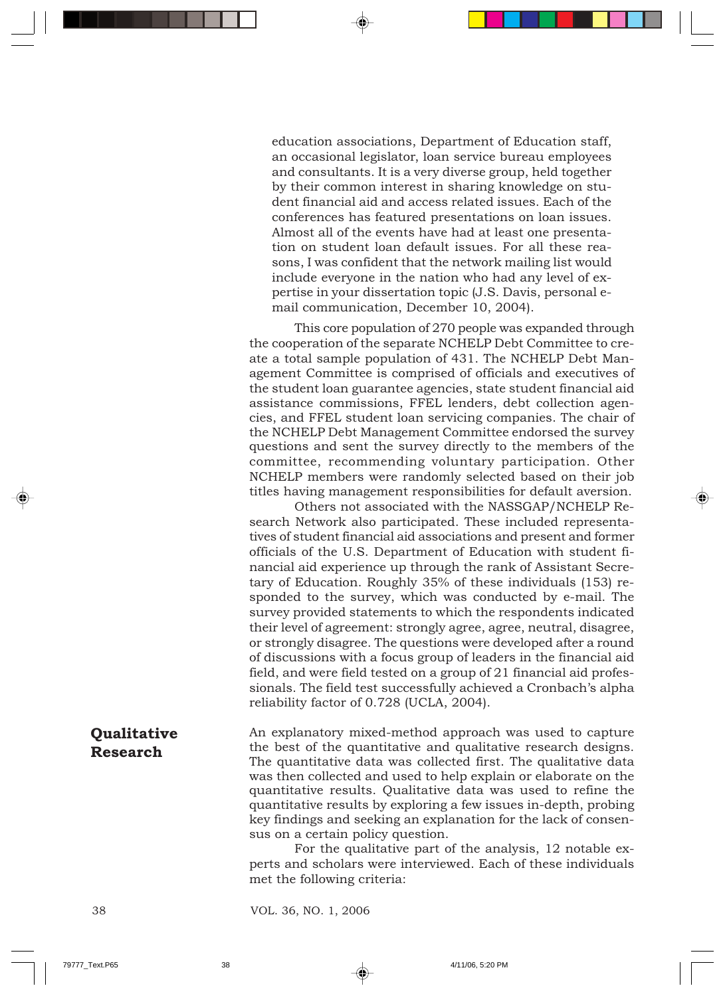education associations, Department of Education staff, an occasional legislator, loan service bureau employees and consultants. It is a very diverse group, held together by their common interest in sharing knowledge on student financial aid and access related issues. Each of the conferences has featured presentations on loan issues. Almost all of the events have had at least one presentation on student loan default issues. For all these reasons, I was confident that the network mailing list would include everyone in the nation who had any level of expertise in your dissertation topic (J.S. Davis, personal email communication, December 10, 2004).

This core population of 270 people was expanded through the cooperation of the separate NCHELP Debt Committee to create a total sample population of 431. The NCHELP Debt Management Committee is comprised of officials and executives of the student loan guarantee agencies, state student financial aid assistance commissions, FFEL lenders, debt collection agencies, and FFEL student loan servicing companies. The chair of the NCHELP Debt Management Committee endorsed the survey questions and sent the survey directly to the members of the committee, recommending voluntary participation. Other NCHELP members were randomly selected based on their job titles having management responsibilities for default aversion.

Others not associated with the NASSGAP/NCHELP Research Network also participated. These included representatives of student financial aid associations and present and former officials of the U.S. Department of Education with student financial aid experience up through the rank of Assistant Secretary of Education. Roughly 35% of these individuals (153) responded to the survey, which was conducted by e-mail. The survey provided statements to which the respondents indicated their level of agreement: strongly agree, agree, neutral, disagree, or strongly disagree. The questions were developed after a round of discussions with a focus group of leaders in the financial aid field, and were field tested on a group of 21 financial aid professionals. The field test successfully achieved a Cronbach's alpha reliability factor of 0.728 (UCLA, 2004).

An explanatory mixed-method approach was used to capture the best of the quantitative and qualitative research designs. The quantitative data was collected first. The qualitative data was then collected and used to help explain or elaborate on the quantitative results. Qualitative data was used to refine the quantitative results by exploring a few issues in-depth, probing key findings and seeking an explanation for the lack of consensus on a certain policy question. **Qualitative Research**

> For the qualitative part of the analysis, 12 notable experts and scholars were interviewed. Each of these individuals met the following criteria: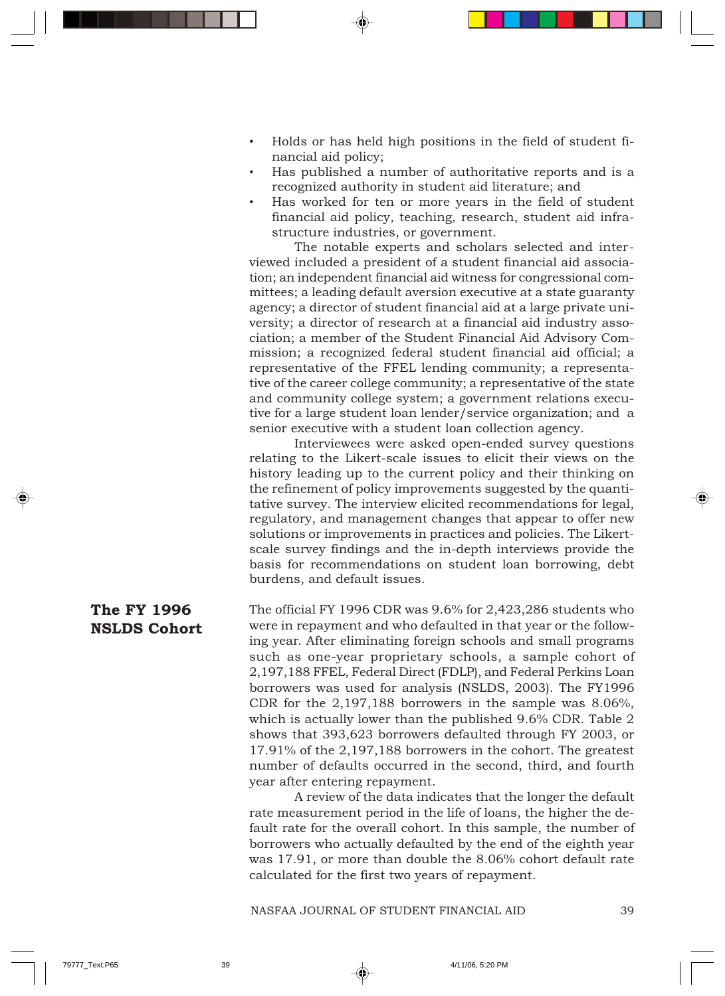- Holds or has held high positions in the field of student financial aid policy;
- Has published a number of authoritative reports and is a recognized authority in student aid literature; and
- Has worked for ten or more years in the field of student financial aid policy, teaching, research, student aid infrastructure industries, or government.

The notable experts and scholars selected and interviewed included a president of a student financial aid association; an independent financial aid witness for congressional committees; a leading default aversion executive at a state guaranty agency; a director of student financial aid at a large private university; a director of research at a financial aid industry association; a member of the Student Financial Aid Advisory Commission; a recognized federal student financial aid official; a representative of the FFEL lending community; a representative of the career college community; a representative of the state and community college system; a government relations executive for a large student loan lender/service organization; and a senior executive with a student loan collection agency.

Interviewees were asked open-ended survey questions relating to the Likert-scale issues to elicit their views on the history leading up to the current policy and their thinking on the refinement of policy improvements suggested by the quantitative survey. The interview elicited recommendations for legal, regulatory, and management changes that appear to offer new solutions or improvements in practices and policies. The Likertscale survey findings and the in-depth interviews provide the basis for recommendations on student loan borrowing, debt burdens, and default issues.

The official FY 1996 CDR was 9.6% for 2,423,286 students who were in repayment and who defaulted in that year or the following year. After eliminating foreign schools and small programs such as one-year proprietary schools, a sample cohort of 2,197,188 FFEL, Federal Direct (FDLP), and Federal Perkins Loan borrowers was used for analysis (NSLDS, 2003). The FY1996 CDR for the 2,197,188 borrowers in the sample was 8.06%, which is actually lower than the published 9.6% CDR. Table 2 shows that 393,623 borrowers defaulted through FY 2003, or 17.91% of the 2,197,188 borrowers in the cohort. The greatest number of defaults occurred in the second, third, and fourth year after entering repayment. **The FY 1996 NSLDS Cohort**

A review of the data indicates that the longer the default rate measurement period in the life of loans, the higher the default rate for the overall cohort. In this sample, the number of borrowers who actually defaulted by the end of the eighth year was 17.91, or more than double the 8.06% cohort default rate calculated for the first two years of repayment.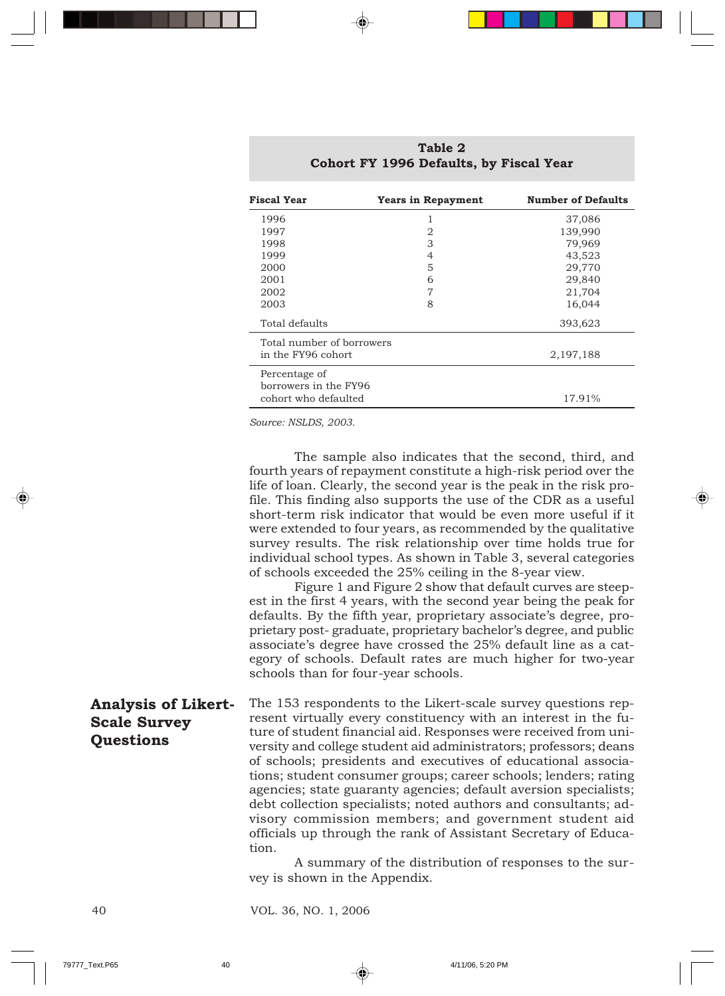| <b>Fiscal Year</b>                     | <b>Years in Repayment</b> | <b>Number of Defaults</b> |
|----------------------------------------|---------------------------|---------------------------|
| 1996                                   | 1                         | 37,086                    |
| 1997                                   | $\overline{2}$            | 139,990                   |
| 1998                                   | 3                         | 79,969                    |
| 1999                                   | 4                         | 43,523                    |
| 2000                                   | 5                         | 29,770                    |
| 2001                                   | 6                         | 29,840                    |
| 2002                                   | 7                         | 21,704                    |
| 2003                                   | 8                         | 16,044                    |
| Total defaults                         |                           | 393,623                   |
| Total number of borrowers              |                           |                           |
| in the FY96 cohort.                    |                           | 2,197,188                 |
| Percentage of<br>borrowers in the FY96 |                           |                           |
| cohort who defaulted                   |                           | 17.91%                    |

**Table 2 Cohort FY 1996 Defaults, by Fiscal Year**

*Source: NSLDS, 2003.*

The sample also indicates that the second, third, and fourth years of repayment constitute a high-risk period over the life of loan. Clearly, the second year is the peak in the risk profile. This finding also supports the use of the CDR as a useful short-term risk indicator that would be even more useful if it were extended to four years, as recommended by the qualitative survey results. The risk relationship over time holds true for individual school types. As shown in Table 3, several categories of schools exceeded the 25% ceiling in the 8-year view. Figure 1 and Figure 2 show that default curves are steepest in the first 4 years, with the second year being the peak for defaults. By the fifth year, proprietary associate's degree, proprietary post- graduate, proprietary bachelor's degree, and public associate's degree have crossed the 25% default line as a category of schools. Default rates are much higher for two-year schools than for four-year schools. The 153 respondents to the Likert-scale survey questions represent virtually every constituency with an interest in the future of student financial aid. Responses were received from university and college student aid administrators; professors; deans of schools; presidents and executives of educational associations; student consumer groups; career schools; lenders; rating agencies; state guaranty agencies; default aversion specialists; debt collection specialists; noted authors and consultants; advisory commission members; and government student aid officials up through the rank of Assistant Secretary of Education. **Analysis of Likert-Scale Survey Questions**

> A summary of the distribution of responses to the survey is shown in the Appendix.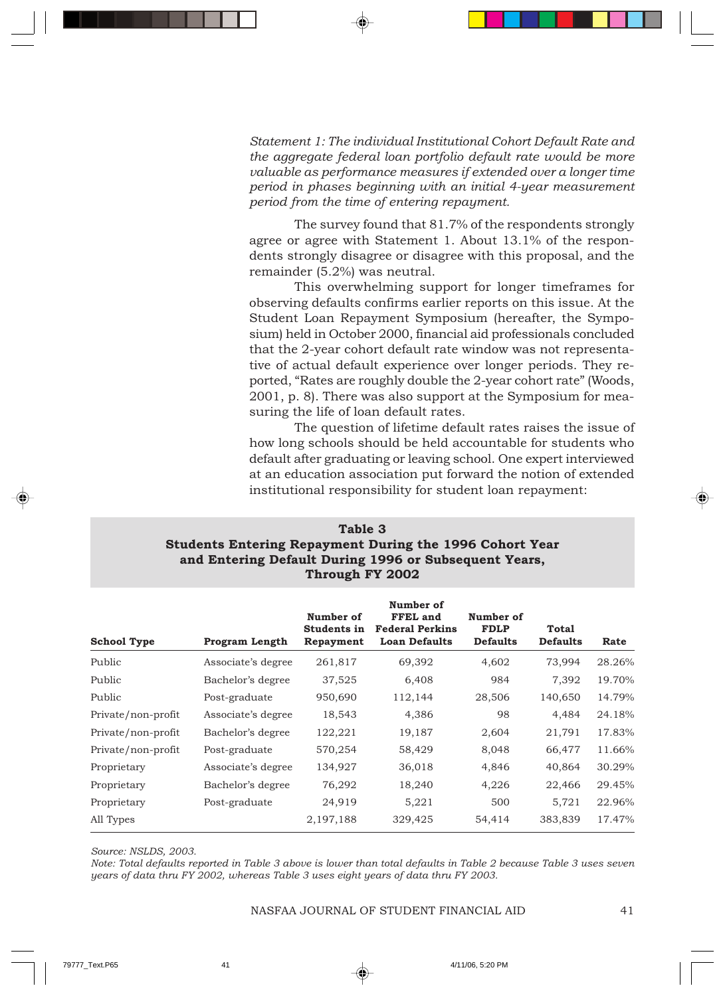*Statement 1: The individual Institutional Cohort Default Rate and the aggregate federal loan portfolio default rate would be more valuable as performance measures if extended over a longer time period in phases beginning with an initial 4-year measurement period from the time of entering repayment.*

The survey found that 81.7% of the respondents strongly agree or agree with Statement 1. About 13.1% of the respondents strongly disagree or disagree with this proposal, and the remainder (5.2%) was neutral.

This overwhelming support for longer timeframes for observing defaults confirms earlier reports on this issue. At the Student Loan Repayment Symposium (hereafter, the Symposium) held in October 2000, financial aid professionals concluded that the 2-year cohort default rate window was not representative of actual default experience over longer periods. They reported, "Rates are roughly double the 2-year cohort rate" (Woods, 2001, p. 8). There was also support at the Symposium for measuring the life of loan default rates.

The question of lifetime default rates raises the issue of how long schools should be held accountable for students who default after graduating or leaving school. One expert interviewed at an education association put forward the notion of extended institutional responsibility for student loan repayment:

| Table 3                                                        |  |  |  |
|----------------------------------------------------------------|--|--|--|
| <b>Students Entering Repayment During the 1996 Cohort Year</b> |  |  |  |
| and Entering Default During 1996 or Subsequent Years,          |  |  |  |
| Through FY 2002                                                |  |  |  |

| <b>School Type</b> | <b>Program Length</b> | Number of<br>Students in<br>Repayment | Number of<br>FFEL and<br><b>Federal Perkins</b><br><b>Loan Defaults</b> | Number of<br><b>FDLP</b><br><b>Defaults</b> | <b>Total</b><br><b>Defaults</b> | Rate   |
|--------------------|-----------------------|---------------------------------------|-------------------------------------------------------------------------|---------------------------------------------|---------------------------------|--------|
| Public             | Associate's degree    | 261,817                               | 69,392                                                                  | 4,602                                       | 73,994                          | 28.26% |
| Public             | Bachelor's degree     | 37,525                                | 6,408                                                                   | 984                                         | 7,392                           | 19.70% |
| Public             | Post-graduate         | 950,690                               | 112,144                                                                 | 28,506                                      | 140,650                         | 14.79% |
| Private/non-profit | Associate's degree    | 18,543                                | 4,386                                                                   | 98                                          | 4,484                           | 24.18% |
| Private/non-profit | Bachelor's degree     | 122,221                               | 19,187                                                                  | 2,604                                       | 21,791                          | 17.83% |
| Private/non-profit | Post-graduate         | 570,254                               | 58,429                                                                  | 8,048                                       | 66,477                          | 11.66% |
| Proprietary        | Associate's degree    | 134,927                               | 36,018                                                                  | 4,846                                       | 40,864                          | 30.29% |
| Proprietary        | Bachelor's degree     | 76,292                                | 18,240                                                                  | 4,226                                       | 22,466                          | 29.45% |
| Proprietary        | Post-graduate         | 24,919                                | 5,221                                                                   | 500                                         | 5,721                           | 22.96% |
| All Types          |                       | 2,197,188                             | 329,425                                                                 | 54,414                                      | 383,839                         | 17.47% |

*Source: NSLDS, 2003.*

*Note: Total defaults reported in Table 3 above is lower than total defaults in Table 2 because Table 3 uses seven years of data thru FY 2002, whereas Table 3 uses eight years of data thru FY 2003.*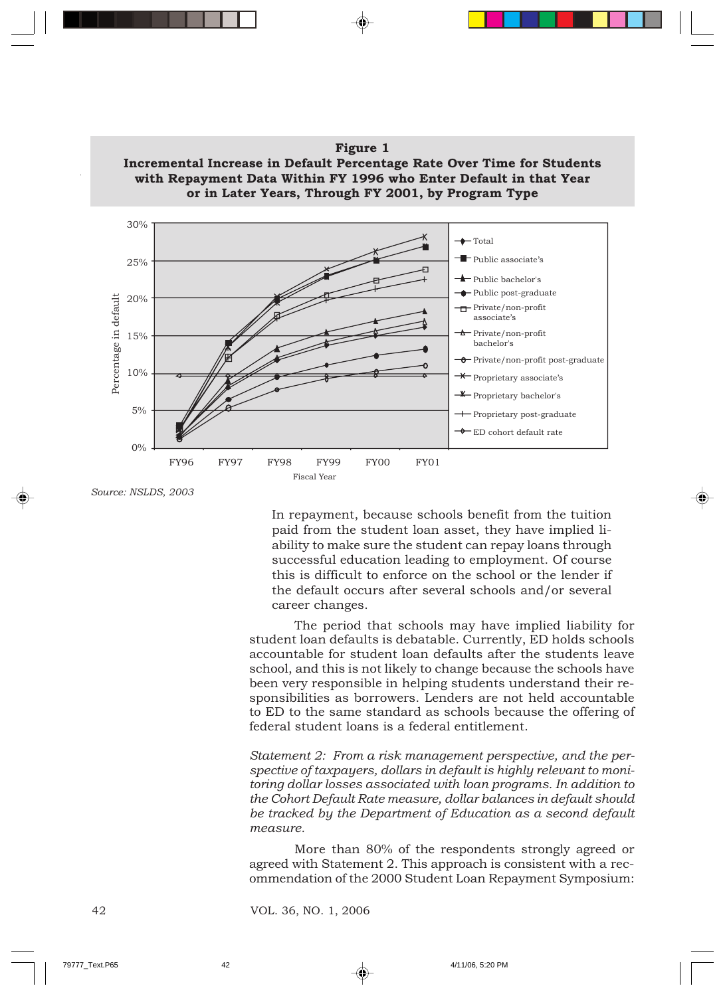

# **Figure 1 Incremental Increase in Default Percentage Rate Over Time for Students**

*Source: NSLDS, 2003*

In repayment, because schools benefit from the tuition paid from the student loan asset, they have implied liability to make sure the student can repay loans through successful education leading to employment. Of course this is difficult to enforce on the school or the lender if the default occurs after several schools and/or several career changes.

The period that schools may have implied liability for student loan defaults is debatable. Currently, ED holds schools accountable for student loan defaults after the students leave school, and this is not likely to change because the schools have been very responsible in helping students understand their responsibilities as borrowers. Lenders are not held accountable to ED to the same standard as schools because the offering of federal student loans is a federal entitlement.

*Statement 2: From a risk management perspective, and the perspective of taxpayers, dollars in default is highly relevant to monitoring dollar losses associated with loan programs. In addition to the Cohort Default Rate measure, dollar balances in default should be tracked by the Department of Education as a second default measure.*

More than 80% of the respondents strongly agreed or agreed with Statement 2. This approach is consistent with a recommendation of the 2000 Student Loan Repayment Symposium: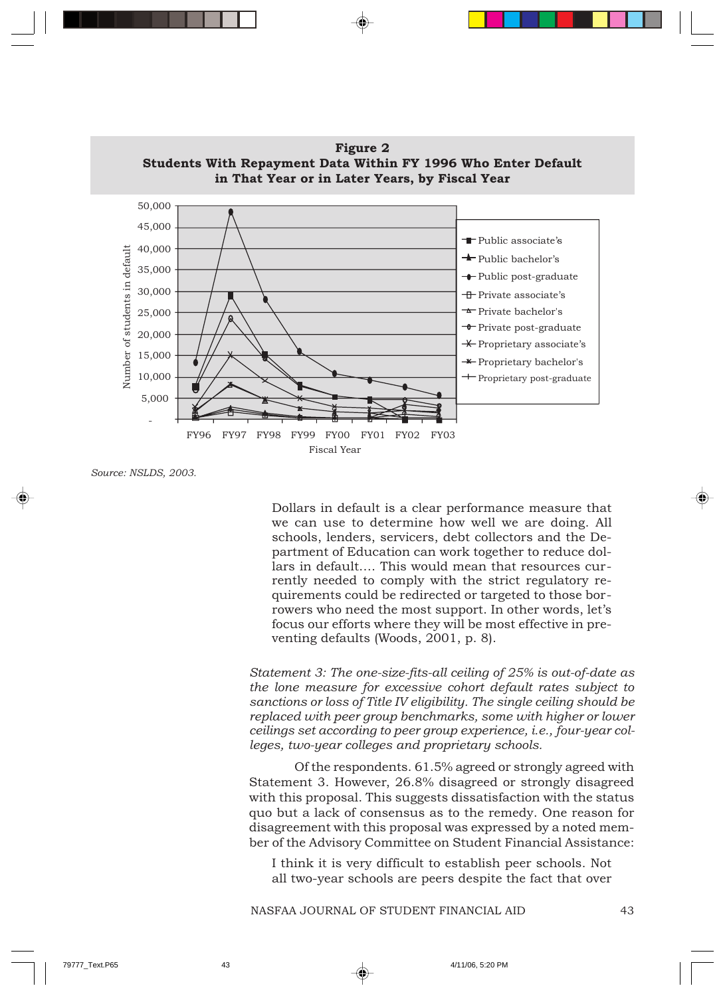

**Figure 2 Students With Repayment Data Within FY 1996 Who Enter Default**

*Source: NSLDS, 2003.*

Dollars in default is a clear performance measure that we can use to determine how well we are doing. All schools, lenders, servicers, debt collectors and the Department of Education can work together to reduce dollars in default…. This would mean that resources currently needed to comply with the strict regulatory requirements could be redirected or targeted to those borrowers who need the most support. In other words, let's focus our efforts where they will be most effective in preventing defaults (Woods, 2001, p. 8).

*Statement 3: The one-size-fits-all ceiling of 25% is out-of-date as the lone measure for excessive cohort default rates subject to sanctions or loss of Title IV eligibility. The single ceiling should be replaced with peer group benchmarks, some with higher or lower ceilings set according to peer group experience, i.e., four-year colleges, two-year colleges and proprietary schools.*

Of the respondents. 61.5% agreed or strongly agreed with Statement 3. However, 26.8% disagreed or strongly disagreed with this proposal. This suggests dissatisfaction with the status quo but a lack of consensus as to the remedy. One reason for disagreement with this proposal was expressed by a noted member of the Advisory Committee on Student Financial Assistance:

I think it is very difficult to establish peer schools. Not all two-year schools are peers despite the fact that over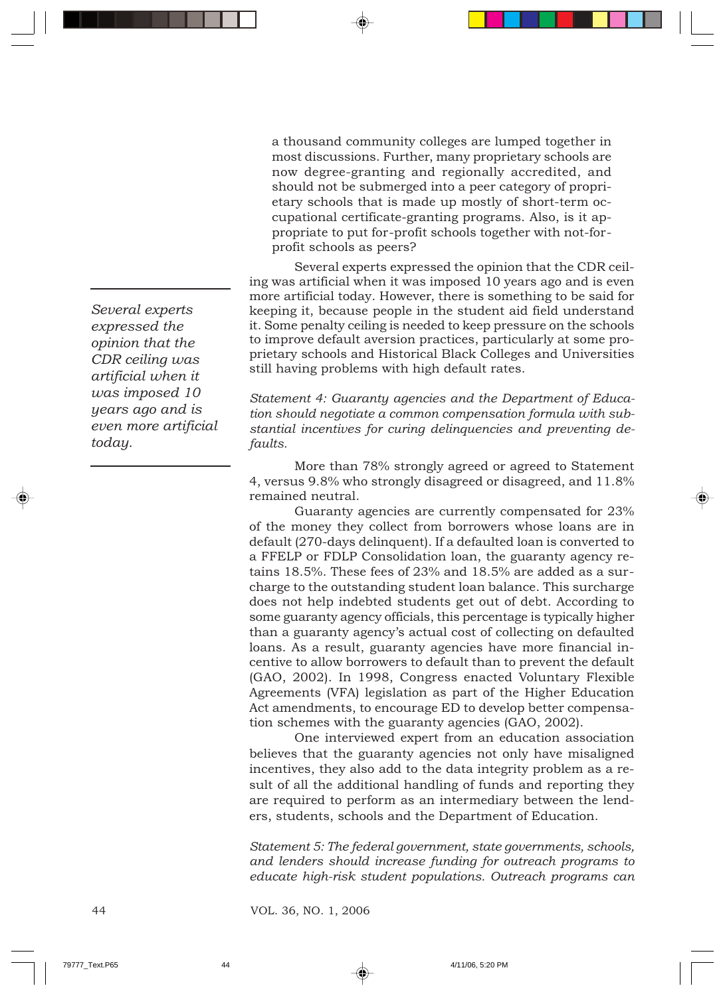a thousand community colleges are lumped together in most discussions. Further, many proprietary schools are now degree-granting and regionally accredited, and should not be submerged into a peer category of proprietary schools that is made up mostly of short-term occupational certificate-granting programs. Also, is it appropriate to put for-profit schools together with not-forprofit schools as peers?

Several experts expressed the opinion that the CDR ceiling was artificial when it was imposed 10 years ago and is even more artificial today. However, there is something to be said for keeping it, because people in the student aid field understand it. Some penalty ceiling is needed to keep pressure on the schools to improve default aversion practices, particularly at some proprietary schools and Historical Black Colleges and Universities still having problems with high default rates.

*Statement 4: Guaranty agencies and the Department of Education should negotiate a common compensation formula with substantial incentives for curing delinquencies and preventing defaults.*

More than 78% strongly agreed or agreed to Statement 4, versus 9.8% who strongly disagreed or disagreed, and 11.8% remained neutral.

Guaranty agencies are currently compensated for 23% of the money they collect from borrowers whose loans are in default (270-days delinquent). If a defaulted loan is converted to a FFELP or FDLP Consolidation loan, the guaranty agency retains 18.5%. These fees of 23% and 18.5% are added as a surcharge to the outstanding student loan balance. This surcharge does not help indebted students get out of debt. According to some guaranty agency officials, this percentage is typically higher than a guaranty agency's actual cost of collecting on defaulted loans. As a result, guaranty agencies have more financial incentive to allow borrowers to default than to prevent the default (GAO, 2002). In 1998, Congress enacted Voluntary Flexible Agreements (VFA) legislation as part of the Higher Education Act amendments, to encourage ED to develop better compensation schemes with the guaranty agencies (GAO, 2002).

One interviewed expert from an education association believes that the guaranty agencies not only have misaligned incentives, they also add to the data integrity problem as a result of all the additional handling of funds and reporting they are required to perform as an intermediary between the lenders, students, schools and the Department of Education.

*Statement 5: The federal government, state governments, schools, and lenders should increase funding for outreach programs to educate high-risk student populations. Outreach programs can*

*Several experts expressed the opinion that the CDR ceiling was artificial when it was imposed 10 years ago and is even more artificial today.*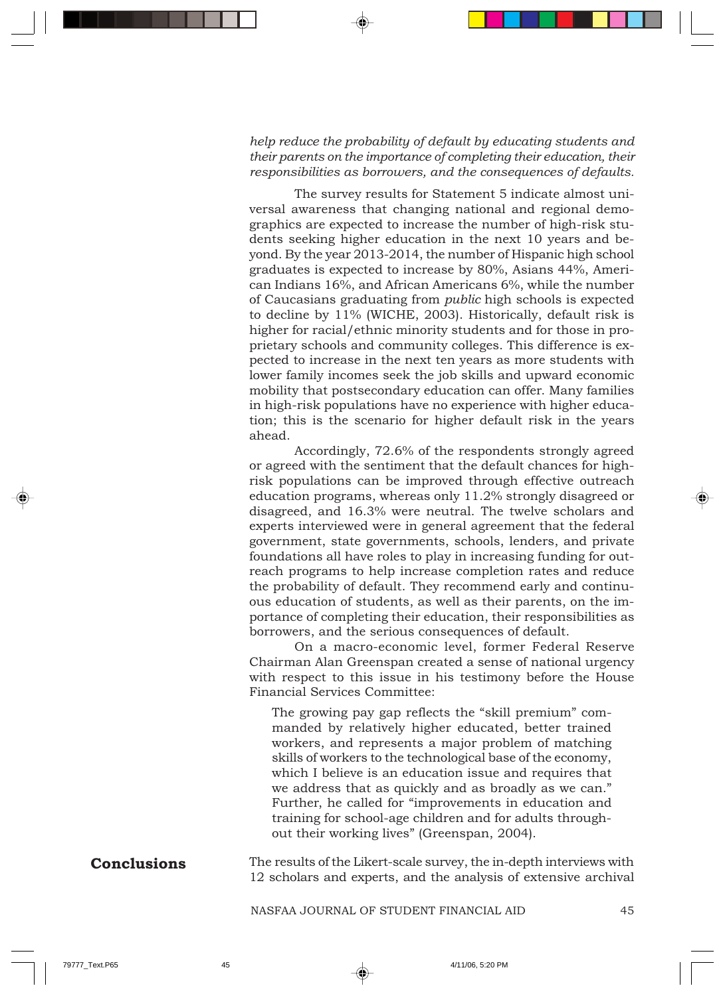#### *help reduce the probability of default by educating students and their parents on the importance of completing their education, their responsibilities as borrowers, and the consequences of defaults.*

The survey results for Statement 5 indicate almost universal awareness that changing national and regional demographics are expected to increase the number of high-risk students seeking higher education in the next 10 years and beyond. By the year 2013-2014, the number of Hispanic high school graduates is expected to increase by 80%, Asians 44%, American Indians 16%, and African Americans 6%, while the number of Caucasians graduating from *public* high schools is expected to decline by 11% (WICHE, 2003). Historically, default risk is higher for racial/ethnic minority students and for those in proprietary schools and community colleges. This difference is expected to increase in the next ten years as more students with lower family incomes seek the job skills and upward economic mobility that postsecondary education can offer. Many families in high-risk populations have no experience with higher education; this is the scenario for higher default risk in the years ahead.

Accordingly, 72.6% of the respondents strongly agreed or agreed with the sentiment that the default chances for highrisk populations can be improved through effective outreach education programs, whereas only 11.2% strongly disagreed or disagreed, and 16.3% were neutral. The twelve scholars and experts interviewed were in general agreement that the federal government, state governments, schools, lenders, and private foundations all have roles to play in increasing funding for outreach programs to help increase completion rates and reduce the probability of default. They recommend early and continuous education of students, as well as their parents, on the importance of completing their education, their responsibilities as borrowers, and the serious consequences of default.

On a macro-economic level, former Federal Reserve Chairman Alan Greenspan created a sense of national urgency with respect to this issue in his testimony before the House Financial Services Committee:

The growing pay gap reflects the "skill premium" commanded by relatively higher educated, better trained workers, and represents a major problem of matching skills of workers to the technological base of the economy, which I believe is an education issue and requires that we address that as quickly and as broadly as we can." Further, he called for "improvements in education and training for school-age children and for adults throughout their working lives" (Greenspan, 2004).

#### The results of the Likert-scale survey, the in-depth interviews with 12 scholars and experts, and the analysis of extensive archival **Conclusions**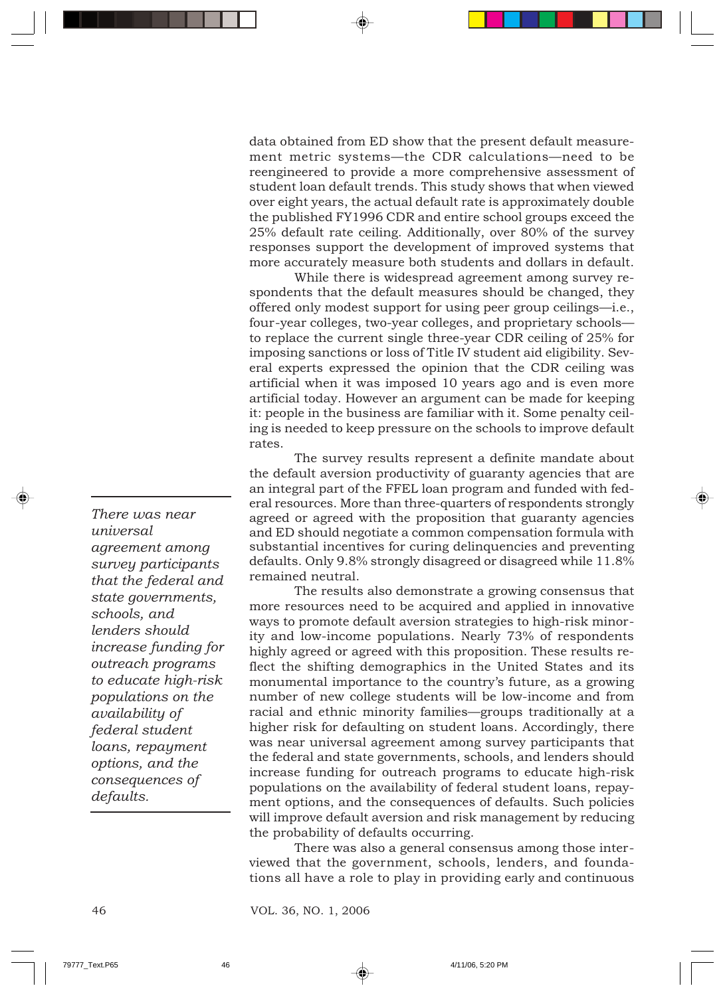data obtained from ED show that the present default measurement metric systems—the CDR calculations—need to be reengineered to provide a more comprehensive assessment of student loan default trends. This study shows that when viewed over eight years, the actual default rate is approximately double the published FY1996 CDR and entire school groups exceed the 25% default rate ceiling. Additionally, over 80% of the survey responses support the development of improved systems that more accurately measure both students and dollars in default.

While there is widespread agreement among survey respondents that the default measures should be changed, they offered only modest support for using peer group ceilings—i.e., four-year colleges, two-year colleges, and proprietary schools to replace the current single three-year CDR ceiling of 25% for imposing sanctions or loss of Title IV student aid eligibility. Several experts expressed the opinion that the CDR ceiling was artificial when it was imposed 10 years ago and is even more artificial today. However an argument can be made for keeping it: people in the business are familiar with it. Some penalty ceiling is needed to keep pressure on the schools to improve default rates.

The survey results represent a definite mandate about the default aversion productivity of guaranty agencies that are an integral part of the FFEL loan program and funded with federal resources. More than three-quarters of respondents strongly agreed or agreed with the proposition that guaranty agencies and ED should negotiate a common compensation formula with substantial incentives for curing delinquencies and preventing defaults. Only 9.8% strongly disagreed or disagreed while 11.8% remained neutral.

The results also demonstrate a growing consensus that more resources need to be acquired and applied in innovative ways to promote default aversion strategies to high-risk minority and low-income populations. Nearly 73% of respondents highly agreed or agreed with this proposition. These results reflect the shifting demographics in the United States and its monumental importance to the country's future, as a growing number of new college students will be low-income and from racial and ethnic minority families—groups traditionally at a higher risk for defaulting on student loans. Accordingly, there was near universal agreement among survey participants that the federal and state governments, schools, and lenders should increase funding for outreach programs to educate high-risk populations on the availability of federal student loans, repayment options, and the consequences of defaults. Such policies will improve default aversion and risk management by reducing the probability of defaults occurring.

There was also a general consensus among those interviewed that the government, schools, lenders, and foundations all have a role to play in providing early and continuous

*There was near universal agreement among survey participants that the federal and state governments, schools, and lenders should increase funding for outreach programs to educate high-risk populations on the availability of federal student loans, repayment options, and the consequences of defaults.*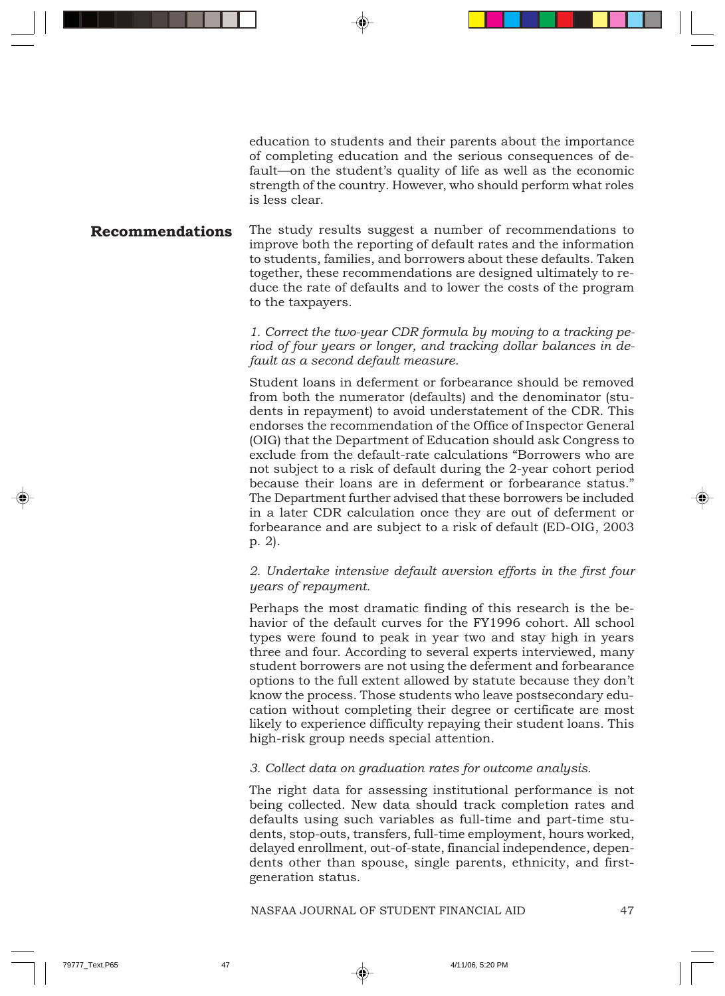education to students and their parents about the importance of completing education and the serious consequences of default—on the student's quality of life as well as the economic strength of the country. However, who should perform what roles is less clear.

#### The study results suggest a number of recommendations to improve both the reporting of default rates and the information to students, families, and borrowers about these defaults. Taken together, these recommendations are designed ultimately to reduce the rate of defaults and to lower the costs of the program to the taxpayers. **Recommendations**

*1. Correct the two-year CDR formula by moving to a tracking period of four years or longer, and tracking dollar balances in default as a second default measure.*

Student loans in deferment or forbearance should be removed from both the numerator (defaults) and the denominator (students in repayment) to avoid understatement of the CDR. This endorses the recommendation of the Office of Inspector General (OIG) that the Department of Education should ask Congress to exclude from the default-rate calculations "Borrowers who are not subject to a risk of default during the 2-year cohort period because their loans are in deferment or forbearance status." The Department further advised that these borrowers be included in a later CDR calculation once they are out of deferment or forbearance and are subject to a risk of default (ED-OIG, 2003 p. 2).

#### *2. Undertake intensive default aversion efforts in the first four years of repayment.*

Perhaps the most dramatic finding of this research is the behavior of the default curves for the FY1996 cohort. All school types were found to peak in year two and stay high in years three and four. According to several experts interviewed, many student borrowers are not using the deferment and forbearance options to the full extent allowed by statute because they don't know the process. Those students who leave postsecondary education without completing their degree or certificate are most likely to experience difficulty repaying their student loans. This high-risk group needs special attention.

#### *3. Collect data on graduation rates for outcome analysis.*

The right data for assessing institutional performance is not being collected. New data should track completion rates and defaults using such variables as full-time and part-time students, stop-outs, transfers, full-time employment, hours worked, delayed enrollment, out-of-state, financial independence, dependents other than spouse, single parents, ethnicity, and firstgeneration status.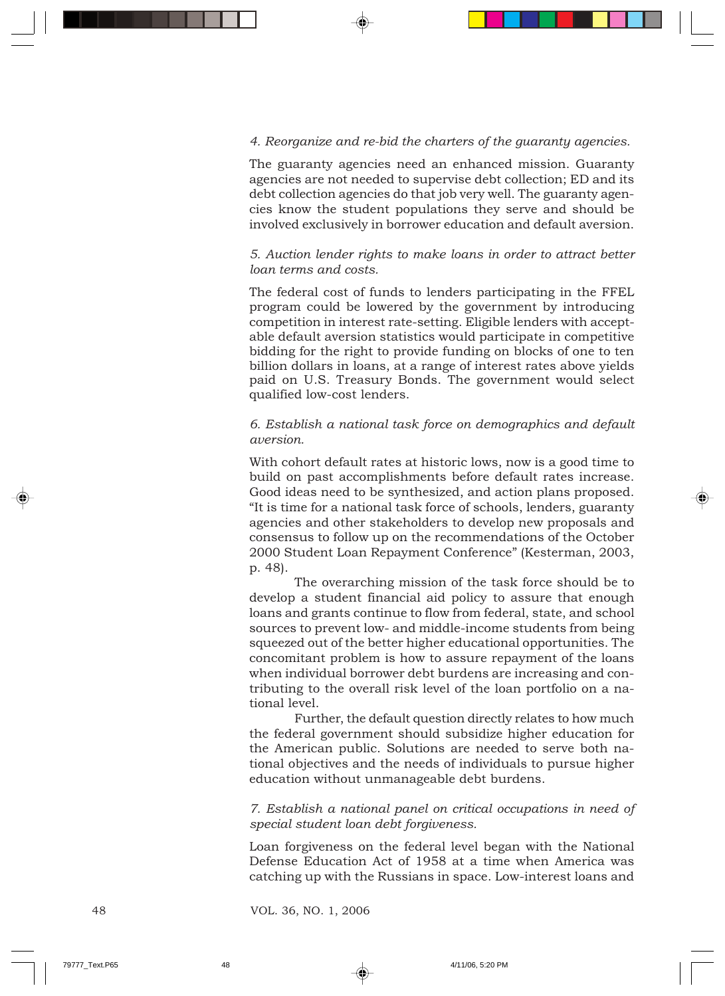#### *4. Reorganize and re-bid the charters of the guaranty agencies.*

The guaranty agencies need an enhanced mission. Guaranty agencies are not needed to supervise debt collection; ED and its debt collection agencies do that job very well. The guaranty agencies know the student populations they serve and should be involved exclusively in borrower education and default aversion.

#### *5. Auction lender rights to make loans in order to attract better loan terms and costs.*

The federal cost of funds to lenders participating in the FFEL program could be lowered by the government by introducing competition in interest rate-setting. Eligible lenders with acceptable default aversion statistics would participate in competitive bidding for the right to provide funding on blocks of one to ten billion dollars in loans, at a range of interest rates above yields paid on U.S. Treasury Bonds. The government would select qualified low-cost lenders.

#### *6. Establish a national task force on demographics and default aversion.*

With cohort default rates at historic lows, now is a good time to build on past accomplishments before default rates increase. Good ideas need to be synthesized, and action plans proposed. "It is time for a national task force of schools, lenders, guaranty agencies and other stakeholders to develop new proposals and consensus to follow up on the recommendations of the October 2000 Student Loan Repayment Conference" (Kesterman, 2003, p. 48).

The overarching mission of the task force should be to develop a student financial aid policy to assure that enough loans and grants continue to flow from federal, state, and school sources to prevent low- and middle-income students from being squeezed out of the better higher educational opportunities. The concomitant problem is how to assure repayment of the loans when individual borrower debt burdens are increasing and contributing to the overall risk level of the loan portfolio on a national level.

Further, the default question directly relates to how much the federal government should subsidize higher education for the American public. Solutions are needed to serve both national objectives and the needs of individuals to pursue higher education without unmanageable debt burdens.

*7. Establish a national panel on critical occupations in need of special student loan debt forgiveness.*

Loan forgiveness on the federal level began with the National Defense Education Act of 1958 at a time when America was catching up with the Russians in space. Low-interest loans and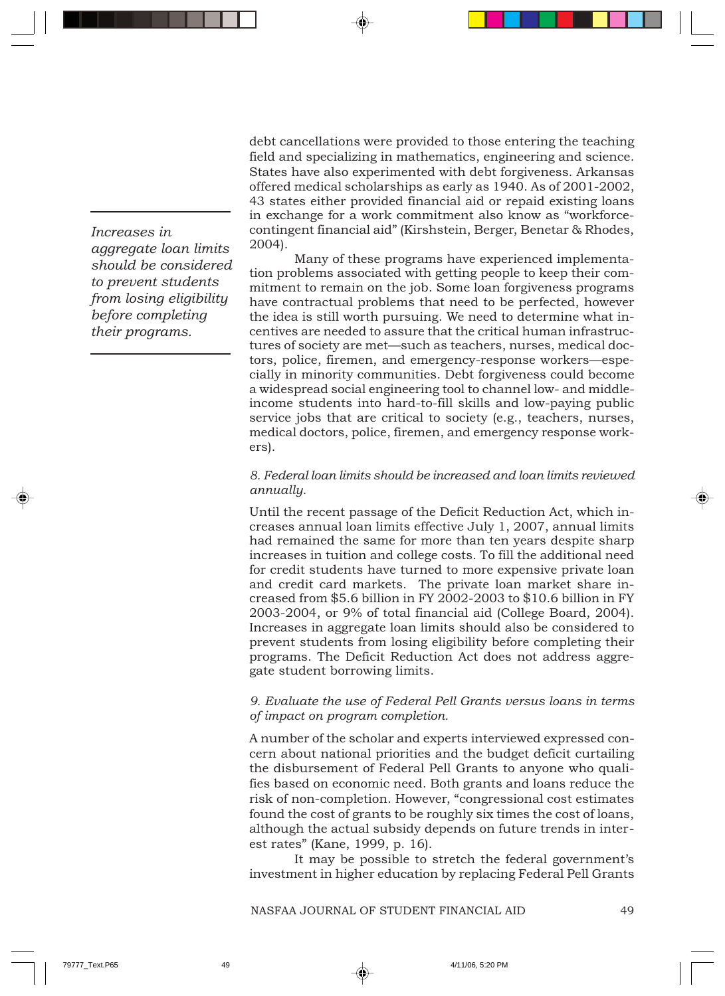debt cancellations were provided to those entering the teaching field and specializing in mathematics, engineering and science. States have also experimented with debt forgiveness. Arkansas offered medical scholarships as early as 1940. As of 2001-2002, 43 states either provided financial aid or repaid existing loans in exchange for a work commitment also know as "workforcecontingent financial aid" (Kirshstein, Berger, Benetar & Rhodes, 2004).

Many of these programs have experienced implementation problems associated with getting people to keep their commitment to remain on the job. Some loan forgiveness programs have contractual problems that need to be perfected, however the idea is still worth pursuing. We need to determine what incentives are needed to assure that the critical human infrastructures of society are met—such as teachers, nurses, medical doctors, police, firemen, and emergency-response workers—especially in minority communities. Debt forgiveness could become a widespread social engineering tool to channel low- and middleincome students into hard-to-fill skills and low-paying public service jobs that are critical to society (e.g., teachers, nurses, medical doctors, police, firemen, and emergency response workers).

#### *8. Federal loan limits should be increased and loan limits reviewed annually.*

Until the recent passage of the Deficit Reduction Act, which increases annual loan limits effective July 1, 2007, annual limits had remained the same for more than ten years despite sharp increases in tuition and college costs. To fill the additional need for credit students have turned to more expensive private loan and credit card markets. The private loan market share increased from \$5.6 billion in FY 2002-2003 to \$10.6 billion in FY 2003-2004, or 9% of total financial aid (College Board, 2004). Increases in aggregate loan limits should also be considered to prevent students from losing eligibility before completing their programs. The Deficit Reduction Act does not address aggregate student borrowing limits.

#### *9. Evaluate the use of Federal Pell Grants versus loans in terms of impact on program completion.*

A number of the scholar and experts interviewed expressed concern about national priorities and the budget deficit curtailing the disbursement of Federal Pell Grants to anyone who qualifies based on economic need. Both grants and loans reduce the risk of non-completion. However, "congressional cost estimates found the cost of grants to be roughly six times the cost of loans, although the actual subsidy depends on future trends in interest rates" (Kane, 1999, p. 16).

It may be possible to stretch the federal government's investment in higher education by replacing Federal Pell Grants

*Increases in aggregate loan limits should be considered to prevent students from losing eligibility before completing their programs.*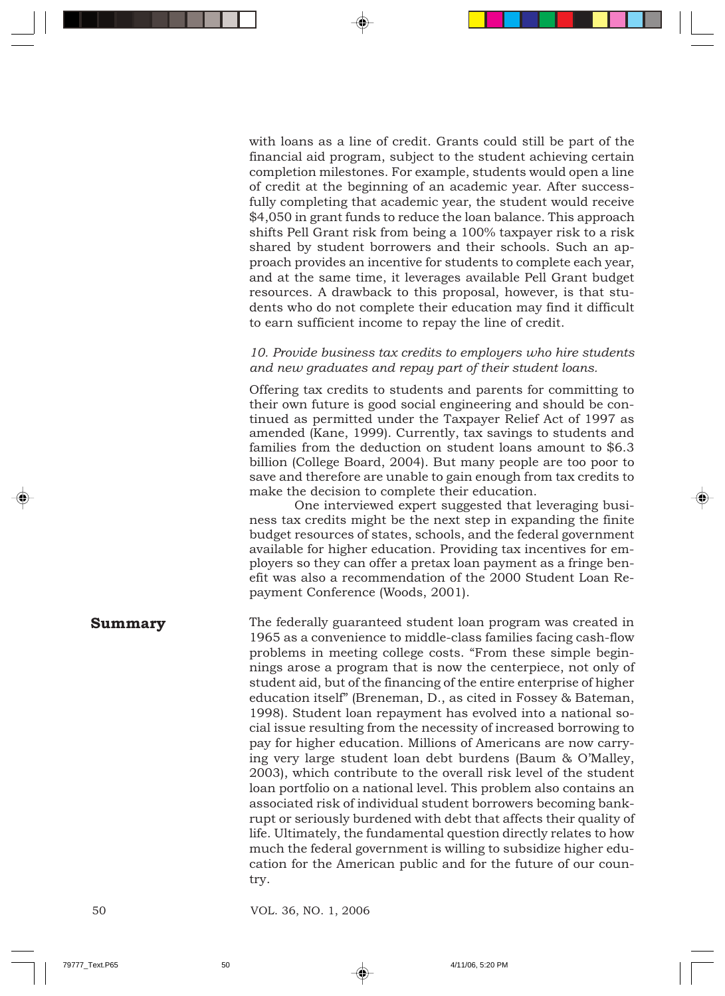with loans as a line of credit. Grants could still be part of the financial aid program, subject to the student achieving certain completion milestones. For example, students would open a line of credit at the beginning of an academic year. After successfully completing that academic year, the student would receive \$4,050 in grant funds to reduce the loan balance. This approach shifts Pell Grant risk from being a 100% taxpayer risk to a risk shared by student borrowers and their schools. Such an approach provides an incentive for students to complete each year, and at the same time, it leverages available Pell Grant budget resources. A drawback to this proposal, however, is that students who do not complete their education may find it difficult to earn sufficient income to repay the line of credit.

#### *10. Provide business tax credits to employers who hire students and new graduates and repay part of their student loans.*

Offering tax credits to students and parents for committing to their own future is good social engineering and should be continued as permitted under the Taxpayer Relief Act of 1997 as amended (Kane, 1999). Currently, tax savings to students and families from the deduction on student loans amount to \$6.3 billion (College Board, 2004). But many people are too poor to save and therefore are unable to gain enough from tax credits to make the decision to complete their education.

One interviewed expert suggested that leveraging business tax credits might be the next step in expanding the finite budget resources of states, schools, and the federal government available for higher education. Providing tax incentives for employers so they can offer a pretax loan payment as a fringe benefit was also a recommendation of the 2000 Student Loan Repayment Conference (Woods, 2001).

## **Summary**

The federally guaranteed student loan program was created in 1965 as a convenience to middle-class families facing cash-flow problems in meeting college costs. "From these simple beginnings arose a program that is now the centerpiece, not only of student aid, but of the financing of the entire enterprise of higher education itself" (Breneman, D., as cited in Fossey & Bateman, 1998). Student loan repayment has evolved into a national social issue resulting from the necessity of increased borrowing to pay for higher education. Millions of Americans are now carrying very large student loan debt burdens (Baum & O'Malley, 2003), which contribute to the overall risk level of the student loan portfolio on a national level. This problem also contains an associated risk of individual student borrowers becoming bankrupt or seriously burdened with debt that affects their quality of life. Ultimately, the fundamental question directly relates to how much the federal government is willing to subsidize higher education for the American public and for the future of our country.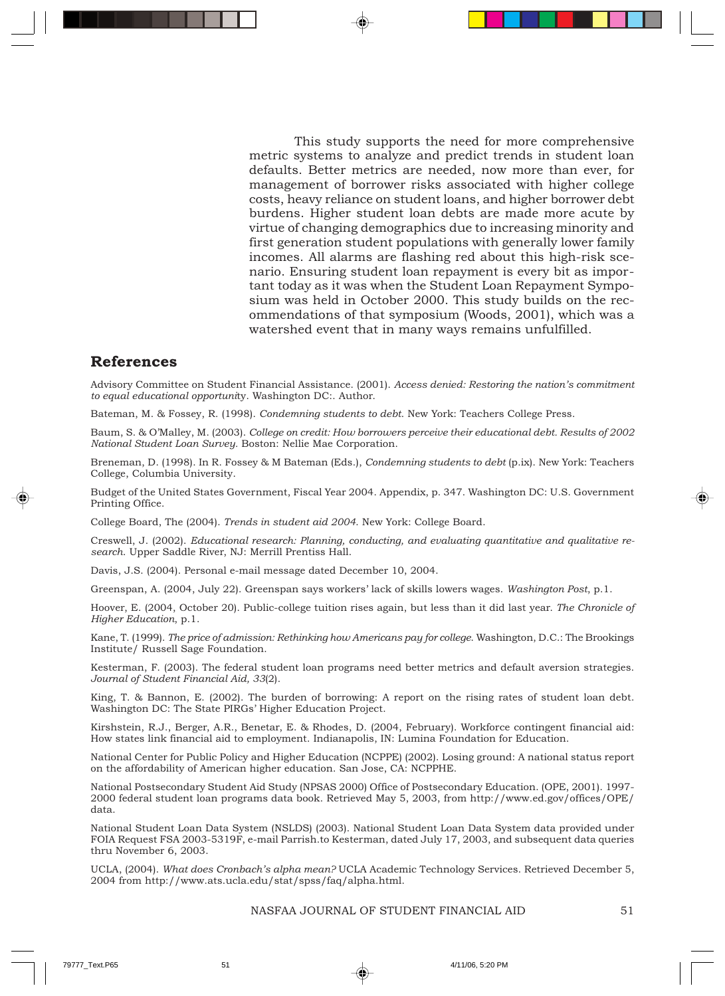This study supports the need for more comprehensive metric systems to analyze and predict trends in student loan defaults. Better metrics are needed, now more than ever, for management of borrower risks associated with higher college costs, heavy reliance on student loans, and higher borrower debt burdens. Higher student loan debts are made more acute by virtue of changing demographics due to increasing minority and first generation student populations with generally lower family incomes. All alarms are flashing red about this high-risk scenario. Ensuring student loan repayment is every bit as important today as it was when the Student Loan Repayment Symposium was held in October 2000. This study builds on the recommendations of that symposium (Woods, 2001), which was a watershed event that in many ways remains unfulfilled.

## **References**

Advisory Committee on Student Financial Assistance. (2001). *Access denied: Restoring the nation's commitment to equal educational opportuni*ty. Washington DC:. Author.

Bateman, M. & Fossey, R. (1998). *Condemning students to debt*. New York: Teachers College Press.

Baum, S. & O'Malley, M. (2003). *College on credit: How borrowers perceive their educational debt. Results of 2002 National Student Loan Survey.* Boston: Nellie Mae Corporation.

Breneman, D. (1998). In R. Fossey & M Bateman (Eds.), *Condemning students to debt* (p.ix). New York: Teachers College, Columbia University.

Budget of the United States Government, Fiscal Year 2004. Appendix, p. 347. Washington DC: U.S. Government Printing Office.

College Board, The (2004). *Trends in student aid 2004*. New York: College Board.

Creswell, J. (2002). *Educational research: Planning, conducting, and evaluating quantitative and qualitative research*. Upper Saddle River, NJ: Merrill Prentiss Hall.

Davis, J.S. (2004). Personal e-mail message dated December 10, 2004.

Greenspan, A. (2004, July 22). Greenspan says workers' lack of skills lowers wages. *Washington Post*, p.1.

Hoover, E. (2004, October 20). Public-college tuition rises again, but less than it did last year. *The Chronicle of Higher Education*, p.1.

Kane, T. (1999). *The price of admission: Rethinking how Americans pay for college*. Washington, D.C.: The Brookings Institute/ Russell Sage Foundation.

Kesterman, F. (2003). The federal student loan programs need better metrics and default aversion strategies. *Journal of Student Financial Aid, 33*(2).

King, T. & Bannon, E. (2002). The burden of borrowing: A report on the rising rates of student loan debt. Washington DC: The State PIRGs' Higher Education Project.

Kirshstein, R.J., Berger, A.R., Benetar, E. & Rhodes, D. (2004, February). Workforce contingent financial aid: How states link financial aid to employment. Indianapolis, IN: Lumina Foundation for Education.

National Center for Public Policy and Higher Education (NCPPE) (2002). Losing ground: A national status report on the affordability of American higher education. San Jose, CA: NCPPHE.

National Postsecondary Student Aid Study (NPSAS 2000) Office of Postsecondary Education. (OPE, 2001). 1997- 2000 federal student loan programs data book. Retrieved May 5, 2003, from http://www.ed.gov/offices/OPE/ data.

National Student Loan Data System (NSLDS) (2003). National Student Loan Data System data provided under FOIA Request FSA 2003-5319F, e-mail Parrish.to Kesterman, dated July 17, 2003, and subsequent data queries thru November 6, 2003.

UCLA, (2004). *What does Cronbach's alpha mean?* UCLA Academic Technology Services. Retrieved December 5, 2004 from http://www.ats.ucla.edu/stat/spss/faq/alpha.html.